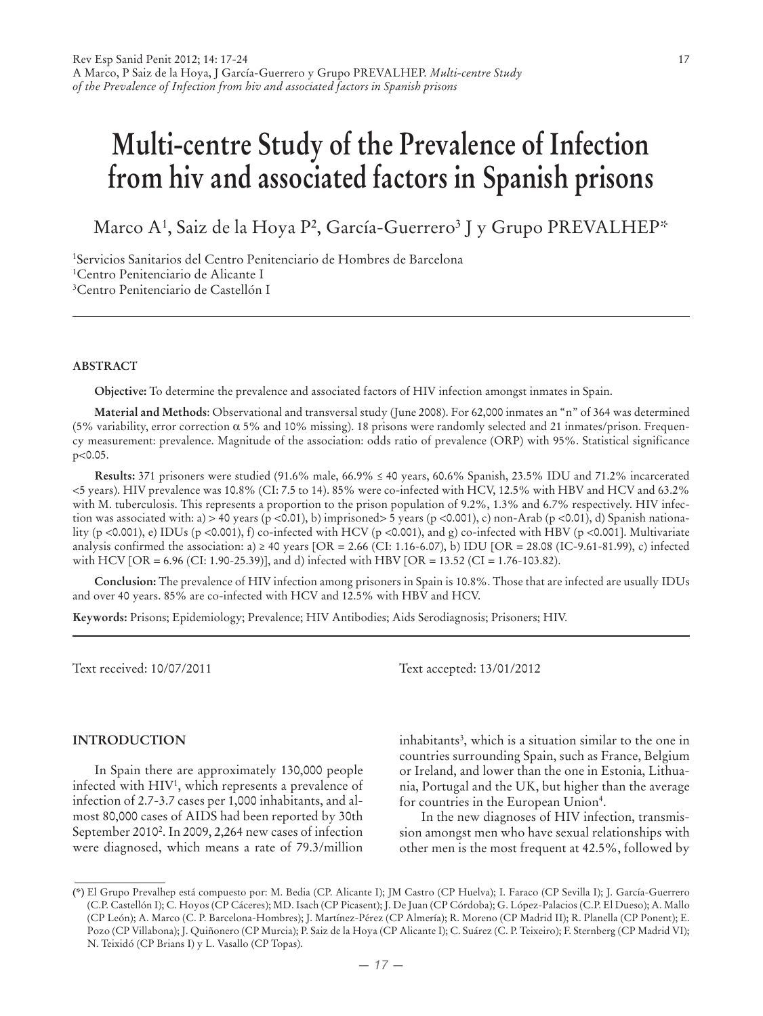# **Multi-centre Study of the Prevalence of Infection from hiv and associated factors in Spanish prisons**

Marco A<sup>1</sup>, Saiz de la Hoya P<sup>2</sup>, García-Guerrero<sup>3</sup> J y Grupo PREVALHEP\*

1 Servicios Sanitarios del Centro Penitenciario de Hombres de Barcelona 1 Centro Penitenciario de Alicante I 3 Centro Penitenciario de Castellón I

#### **Abstract**

**Objective:** To determine the prevalence and associated factors of HIV infection amongst inmates in Spain.

**Material and Methods**: Observational and transversal study (June 2008). For 62,000 inmates an "n" of 364 was determined (5% variability, error correction α 5% and 10% missing). 18 prisons were randomly selected and 21 inmates/prison. Frequency measurement: prevalence. Magnitude of the association: odds ratio of prevalence (ORP) with 95%. Statistical significance p<0.05.

**Results:** 371 prisoners were studied (91.6% male, 66.9% ≤ 40 years, 60.6% Spanish, 23.5% IDU and 71.2% incarcerated <5 years). HIV prevalence was 10.8% (CI: 7.5 to 14). 85% were co-infected with HCV, 12.5% with HBV and HCV and 63.2% with M. tuberculosis. This represents a proportion to the prison population of 9.2%, 1.3% and 6.7% respectively. HIV infection was associated with: a) > 40 years (p <0.01), b) imprisoned> 5 years (p <0.001), c) non-Arab (p <0.01), d) Spanish nationality (p <0.001), e) IDUs (p <0.001), f) co-infected with HCV (p <0.001), and g) co-infected with HBV (p <0.001]. Multivariate analysis confirmed the association: a)  $\geq$  40 years [OR = 2.66 (CI: 1.16-6.07), b) IDU [OR = 28.08 (IC-9.61-81.99), c) infected with HCV [OR = 6.96 (CI: 1.90-25.39)], and d) infected with HBV [OR = 13.52 (CI = 1.76-103.82).

**Conclusion:** The prevalence of HIV infection among prisoners in Spain is 10.8%. Those that are infected are usually IDUs and over 40 years. 85% are co-infected with HCV and 12.5% with HBV and HCV.

**Keywords:** Prisons; Epidemiology; Prevalence; HIV Antibodies; Aids Serodiagnosis; Prisoners; HIV.

Text received: 10/07/2011 Text accepted: 13/01/2012

#### **INTRODUCTION**

In Spain there are approximately 130,000 people infected with HIV1 , which represents a prevalence of infection of 2.7-3.7 cases per 1,000 inhabitants, and almost 80,000 cases of AIDS had been reported by 30th September 2010<sup>2</sup>. In 2009, 2,264 new cases of infection were diagnosed, which means a rate of 79.3/million

inhabitants<sup>3</sup>, which is a situation similar to the one in countries surrounding Spain, such as France, Belgium or Ireland, and lower than the one in Estonia, Lithuania, Portugal and the UK, but higher than the average for countries in the European Union<sup>4</sup>.

In the new diagnoses of HIV infection, transmission amongst men who have sexual relationships with other men is the most frequent at 42.5%, followed by

**<sup>(\*)</sup>** El Grupo Prevalhep está compuesto por: M. Bedia (CP. Alicante I); JM Castro (CP Huelva); I. Faraco (CP Sevilla I); J. García-Guerrero (C.P. Castellón I); C. Hoyos (CP Cáceres); MD. Isach (CP Picasent); J. De Juan (CP Córdoba); G. López-Palacios (C.P. El Dueso); A. Mallo (CP León); A. Marco (C. P. Barcelona-Hombres); J. Martínez-Pérez (CP Almería); R. Moreno (CP Madrid II); R. Planella (CP Ponent); E. Pozo (CP Villabona); J. Quiñonero (CP Murcia); P. Saiz de la Hoya (CP Alicante I); C. Suárez (C. P. Teixeiro); F. Sternberg (CP Madrid VI); N. Teixidó (CP Brians I) y L. Vasallo (CP Topas).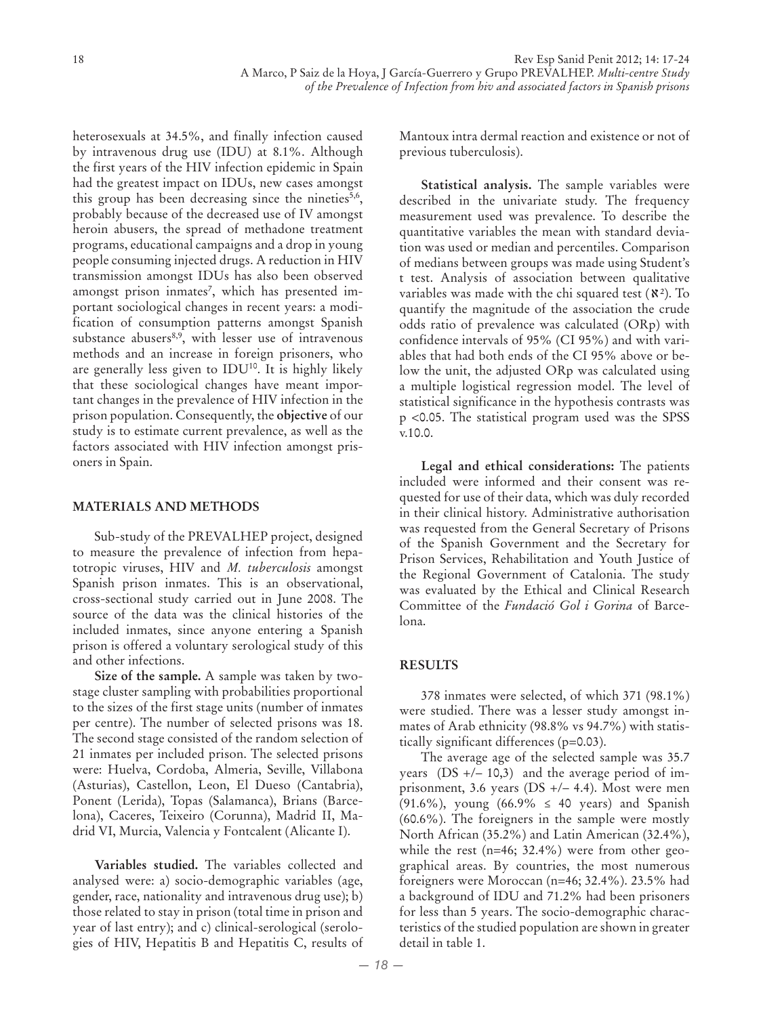heterosexuals at 34.5%, and finally infection caused by intravenous drug use (IDU) at 8.1%. Although the first years of the HIV infection epidemic in Spain had the greatest impact on IDUs, new cases amongst this group has been decreasing since the nineties<sup>5,6</sup>, probably because of the decreased use of IV amongst heroin abusers, the spread of methadone treatment programs, educational campaigns and a drop in young people consuming injected drugs. A reduction in HIV transmission amongst IDUs has also been observed amongst prison inmates<sup>7</sup>, which has presented important sociological changes in recent years: a modification of consumption patterns amongst Spanish substance abusers<sup>8,9</sup>, with lesser use of intravenous methods and an increase in foreign prisoners, who are generally less given to IDU<sup>10</sup>. It is highly likely that these sociological changes have meant important changes in the prevalence of HIV infection in the prison population. Consequently, the **objective** of our study is to estimate current prevalence, as well as the factors associated with HIV infection amongst prisoners in Spain.

## **MATERIALS AND METHODS**

Sub-study of the PREVALHEP project, designed to measure the prevalence of infection from hepatotropic viruses, HIV and *M. tuberculosis* amongst Spanish prison inmates. This is an observational, cross-sectional study carried out in June 2008. The source of the data was the clinical histories of the included inmates, since anyone entering a Spanish prison is offered a voluntary serological study of this and other infections.

**Size of the sample.** A sample was taken by twostage cluster sampling with probabilities proportional to the sizes of the first stage units (number of inmates per centre). The number of selected prisons was 18. The second stage consisted of the random selection of 21 inmates per included prison. The selected prisons were: Huelva, Cordoba, Almeria, Seville, Villabona (Asturias), Castellon, Leon, El Dueso (Cantabria), Ponent (Lerida), Topas (Salamanca), Brians (Barcelona), Caceres, Teixeiro (Corunna), Madrid II, Madrid VI, Murcia, Valencia y Fontcalent (Alicante I).

**Variables studied.** The variables collected and analysed were: a) socio-demographic variables (age, gender, race, nationality and intravenous drug use); b) those related to stay in prison (total time in prison and year of last entry); and c) clinical-serological (serologies of HIV, Hepatitis B and Hepatitis C, results of Mantoux intra dermal reaction and existence or not of previous tuberculosis).

**Statistical analysis.** The sample variables were described in the univariate study. The frequency measurement used was prevalence. To describe the quantitative variables the mean with standard deviation was used or median and percentiles. Comparison of medians between groups was made using Student's t test. Analysis of association between qualitative variables was made with the chi squared test  $(X^2)$ . To quantify the magnitude of the association the crude odds ratio of prevalence was calculated (ORp) with confidence intervals of 95% (CI 95%) and with variables that had both ends of the CI 95% above or below the unit, the adjusted ORp was calculated using a multiple logistical regression model. The level of statistical significance in the hypothesis contrasts was p <0.05. The statistical program used was the SPSS v.10.0.

**Legal and ethical considerations:** The patients included were informed and their consent was requested for use of their data, which was duly recorded in their clinical history. Administrative authorisation was requested from the General Secretary of Prisons of the Spanish Government and the Secretary for Prison Services, Rehabilitation and Youth Justice of the Regional Government of Catalonia. The study was evaluated by the Ethical and Clinical Research Committee of the *Fundació Gol i Gorina* of Barcelona.

# **RESULTS**

378 inmates were selected, of which 371 (98.1%) were studied. There was a lesser study amongst inmates of Arab ethnicity (98.8% vs 94.7%) with statistically significant differences (p=0.03).

The average age of the selected sample was 35.7 years  $(DS + / – 10,3)$  and the average period of imprisonment, 3.6 years (DS +/– 4.4). Most were men (91.6%), young (66.9% ≤ 40 years) and Spanish (60.6%). The foreigners in the sample were mostly North African (35.2%) and Latin American (32.4%), while the rest (n=46; 32.4%) were from other geographical areas. By countries, the most numerous foreigners were Moroccan (n=46; 32.4%). 23.5% had a background of IDU and 71.2% had been prisoners for less than 5 years. The socio-demographic characteristics of the studied population are shown in greater detail in table 1.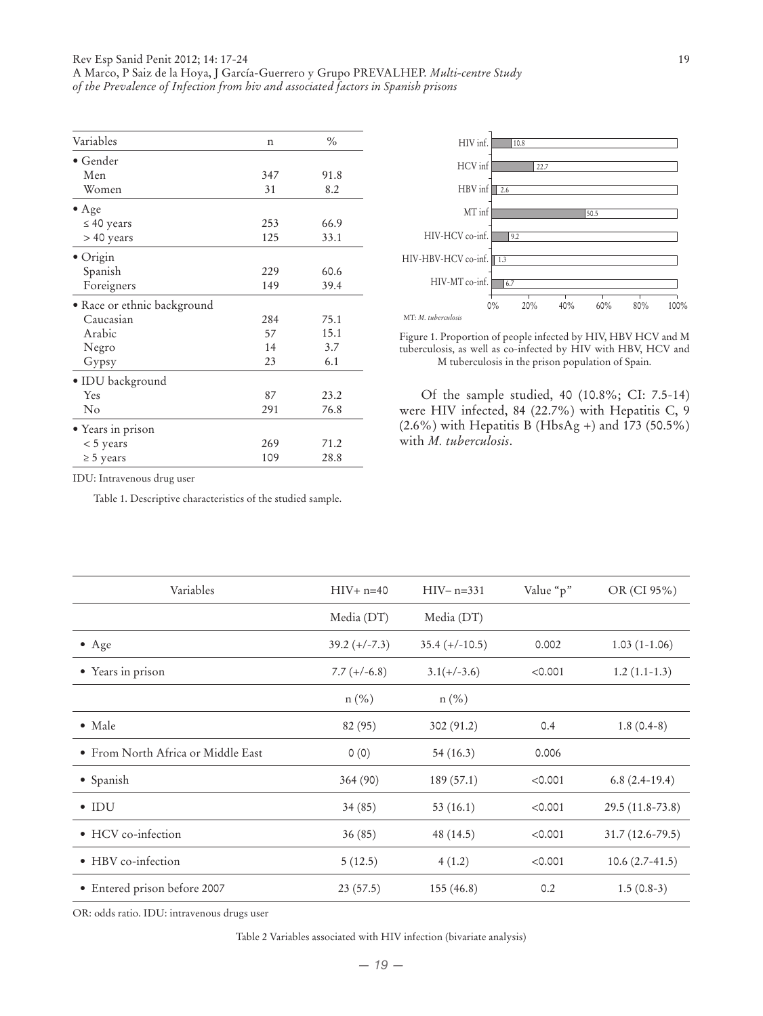| Variables                   | n   | $\frac{0}{0}$ |
|-----------------------------|-----|---------------|
| $\bullet$ Gender            |     |               |
| Men                         | 347 | 91.8          |
| Women                       | 31  | 8.2           |
| $\bullet$ Age               |     |               |
| $\leq 40$ years             | 253 | 66.9          |
| > 40 years                  | 125 | 33.1          |
| · Origin                    |     |               |
| Spanish                     | 229 | 60.6          |
| Foreigners                  | 149 | 39.4          |
| • Race or ethnic background |     |               |
| Caucasian                   | 284 | 75.1          |
| Arabic                      | 57  | 15.1          |
| Negro                       | 14  | 3.7           |
| Gypsy                       | 23  | 6.1           |
| · IDU background            |     |               |
| Yes                         | 87  | 23.2          |
| $\rm No$                    | 291 | 76.8          |
| • Years in prison           |     |               |
| $< 5$ years                 | 269 | 71.2          |
| $\geq$ 5 years              | 109 | 28.8          |



Figure 1. Proportion of people infected by HIV, HBV HCV and M tuberculosis, as well as co-infected by HIV with HBV, HCV and M tuberculosis in the prison population of Spain.

Of the sample studied, 40 (10.8%; CI: 7.5-14) were HIV infected, 84 (22.7%) with Hepatitis C, 9 (2.6%) with Hepatitis B (HbsAg +) and 173 (50.5%) with *M. tuberculosis*.

IDU: Intravenous drug user

Table 1. Descriptive characteristics of the studied sample.

| Variables                          | $HIV + n=40$    | $HIV - n = 331$  | Value "p" | OR (CI 95%)         |
|------------------------------------|-----------------|------------------|-----------|---------------------|
|                                    | Media (DT)      | Media (DT)       |           |                     |
| $\bullet$ Age                      | $39.2 (+/-7.3)$ | $35.4 (+/-10.5)$ | 0.002     | $1.03(1-1.06)$      |
| • Years in prison                  | $7.7 (+/-6.8)$  | $3.1(+/-3.6)$    | < 0.001   | $1.2(1.1-1.3)$      |
|                                    | $n(\%)$         | $n(\%)$          |           |                     |
| $\bullet$ Male                     | 82 (95)         | 302 (91.2)       | 0.4       | $1.8(0.4-8)$        |
| • From North Africa or Middle East | 0(0)            | 54(16.3)         | 0.006     |                     |
| • Spanish                          | 364 (90)        | 189(57.1)        | < 0.001   | $6.8(2.4-19.4)$     |
| $\bullet$ IDU                      | 34(85)          | 53(16.1)         | < 0.001   | 29.5 (11.8-73.8)    |
| • HCV co-infection                 | 36(85)          | 48 (14.5)        | < 0.001   | $31.7(12.6 - 79.5)$ |
| • HBV co-infection                 | 5(12.5)         | 4(1.2)           | < 0.001   | $10.6(2.7-41.5)$    |
| • Entered prison before 2007       | 23(57.5)        | 155(46.8)        | 0.2       | $1.5(0.8-3)$        |

OR: odds ratio. IDU: intravenous drugs user

Table 2 Variables associated with HIV infection (bivariate analysis)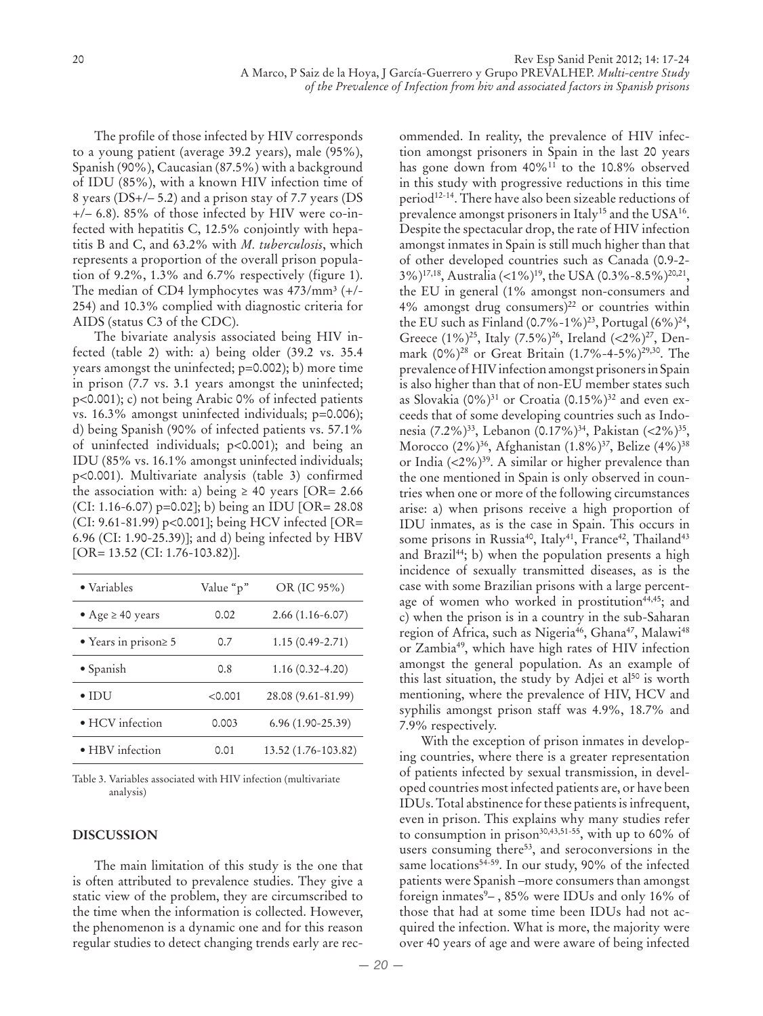The profile of those infected by HIV corresponds to a young patient (average 39.2 years), male (95%), Spanish (90%), Caucasian (87.5%) with a background of IDU (85%), with a known HIV infection time of 8 years (DS+/– 5.2) and a prison stay of 7.7 years (DS +/– 6.8). 85% of those infected by HIV were co-infected with hepatitis C, 12.5% conjointly with hepatitis B and C, and 63.2% with *M. tuberculosis*, which represents a proportion of the overall prison population of 9.2%, 1.3% and 6.7% respectively (figure 1). The median of CD4 lymphocytes was  $473/mm^3$  (+/-254) and 10.3% complied with diagnostic criteria for AIDS (status C3 of the CDC).

The bivariate analysis associated being HIV infected (table 2) with: a) being older (39.2 vs. 35.4 years amongst the uninfected; p=0.002); b) more time in prison (7.7 vs. 3.1 years amongst the uninfected; p<0.001); c) not being Arabic 0% of infected patients vs. 16.3% amongst uninfected individuals; p=0.006); d) being Spanish (90% of infected patients vs. 57.1% of uninfected individuals; p<0.001); and being an IDU (85% vs. 16.1% amongst uninfected individuals; p<0.001). Multivariate analysis (table 3) confirmed the association with: a) being  $\geq$  40 years [OR= 2.66] (CI: 1.16-6.07) p=0.02]; b) being an IDU [OR= 28.08 (CI: 9.61-81.99) p<0.001]; being HCV infected [OR= 6.96 (CI: 1.90-25.39)]; and d) being infected by HBV [OR= 13.52 (CI: 1.76-103.82)].

| • Variables                | Value "p" | OR (IC 95%)         |
|----------------------------|-----------|---------------------|
| • Age $\geq 40$ years      | 0.02      | $2.66(1.16-6.07)$   |
| • Years in prison $\geq 5$ | 0.7       | $1.15(0.49 - 2.71)$ |
| • Spanish                  | 0.8       | $1.16(0.32 - 4.20)$ |
| $\bullet$ IDU              | < 0.001   | 28.08 (9.61-81.99)  |
| · HCV infection            | 0.003     | $6.96(1.90-25.39)$  |
| · HBV infection            | 0.01      | 13.52 (1.76-103.82) |

Table 3. Variables associated with HIV infection (multivariate analysis)

### **DISCUSSION**

The main limitation of this study is the one that is often attributed to prevalence studies. They give a static view of the problem, they are circumscribed to the time when the information is collected. However, the phenomenon is a dynamic one and for this reason regular studies to detect changing trends early are rection amongst prisoners in Spain in the last 20 years has gone down from 40%11 to the 10.8% observed in this study with progressive reductions in this time period<sup>12-14</sup>. There have also been sizeable reductions of prevalence amongst prisoners in Italy<sup>15</sup> and the USA<sup>16</sup>. Despite the spectacular drop, the rate of HIV infection amongst inmates in Spain is still much higher than that of other developed countries such as Canada (0.9-2- 3%)17,18, Australia (<1%)19, the USA (0.3%-8.5%)20,21, the EU in general (1% amongst non-consumers and 4% amongst drug consumers) $^{22}$  or countries within the EU such as Finland (0.7%-1%)<sup>23</sup>, Portugal (6%)<sup>24</sup>, Greece (1%)<sup>25</sup>, Italy (7.5%)<sup>26</sup>, Ireland (<2%)<sup>27</sup>, Denmark (0%)28 or Great Britain (1.7%-4-5%)29,30. The prevalence of HIV infection amongst prisoners in Spain is also higher than that of non-EU member states such as Slovakia  $(0\%)^{31}$  or Croatia  $(0.15\%)^{32}$  and even exceeds that of some developing countries such as Indonesia (7.2%)<sup>33</sup>, Lebanon (0.17%)<sup>34</sup>, Pakistan (<2%)<sup>35</sup>, Morocco (2%)<sup>36</sup>, Afghanistan (1.8%)<sup>37</sup>, Belize (4%)<sup>38</sup> or India  $(<2\%)^{39}$ . A similar or higher prevalence than the one mentioned in Spain is only observed in countries when one or more of the following circumstances arise: a) when prisons receive a high proportion of IDU inmates, as is the case in Spain. This occurs in some prisons in Russia<sup>40</sup>, Italy<sup>41</sup>, France<sup>42</sup>, Thailand<sup>43</sup> and Brazil<sup>44</sup>; b) when the population presents a high incidence of sexually transmitted diseases, as is the case with some Brazilian prisons with a large percentage of women who worked in prostitution<sup>44,45</sup>; and c) when the prison is in a country in the sub-Saharan region of Africa, such as Nigeria<sup>46</sup>, Ghana<sup>47</sup>, Malawi<sup>48</sup> or Zambia49, which have high rates of HIV infection amongst the general population. As an example of this last situation, the study by Adjei et al<sup>50</sup> is worth mentioning, where the prevalence of HIV, HCV and syphilis amongst prison staff was 4.9%, 18.7% and 7.9% respectively. With the exception of prison inmates in develop-

ommended. In reality, the prevalence of HIV infec-

ing countries, where there is a greater representation of patients infected by sexual transmission, in developed countries most infected patients are, or have been IDUs. Total abstinence for these patients is infrequent, even in prison. This explains why many studies refer to consumption in prison<sup>30,43,51-55</sup>, with up to 60% of users consuming there<sup>53</sup>, and seroconversions in the same locations<sup>54-59</sup>. In our study, 90% of the infected patients were Spanish –more consumers than amongst foreign inmates<sup>9</sup> - , 85% were IDUs and only 16% of those that had at some time been IDUs had not acquired the infection. What is more, the majority were over 40 years of age and were aware of being infected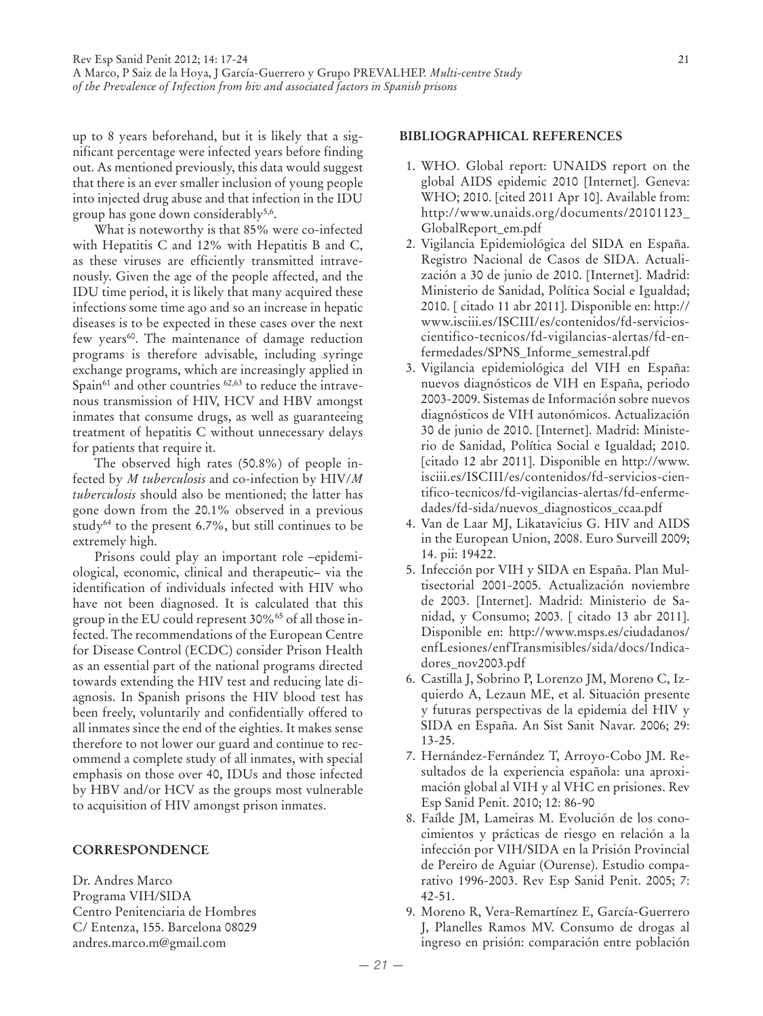up to 8 years beforehand, but it is likely that a significant percentage were infected years before finding out. As mentioned previously, this data would suggest that there is an ever smaller inclusion of young people into injected drug abuse and that infection in the IDU group has gone down considerably<sup>5,6</sup>.

What is noteworthy is that 85% were co-infected with Hepatitis C and 12% with Hepatitis B and C, as these viruses are efficiently transmitted intravenously. Given the age of the people affected, and the IDU time period, it is likely that many acquired these infections some time ago and so an increase in hepatic diseases is to be expected in these cases over the next few years<sup>60</sup>. The maintenance of damage reduction programs is therefore advisable, including syringe exchange programs, which are increasingly applied in Spain $^{61}$  and other countries  $^{62,63}$  to reduce the intravenous transmission of HIV, HCV and HBV amongst inmates that consume drugs, as well as guaranteeing treatment of hepatitis C without unnecessary delays for patients that require it.

The observed high rates (50.8%) of people infected by *M tuberculosis* and co-infection by HIV/*M tuberculosis* should also be mentioned; the latter has gone down from the 20.1% observed in a previous study $64$  to the present 6.7%, but still continues to be extremely high.

Prisons could play an important role –epidemiological, economic, clinical and therapeutic– via the identification of individuals infected with HIV who have not been diagnosed. It is calculated that this group in the EU could represent 30%65 of all those infected. The recommendations of the European Centre for Disease Control (ECDC) consider Prison Health as an essential part of the national programs directed towards extending the HIV test and reducing late diagnosis. In Spanish prisons the HIV blood test has been freely, voluntarily and confidentially offered to all inmates since the end of the eighties. It makes sense therefore to not lower our guard and continue to recommend a complete study of all inmates, with special emphasis on those over 40, IDUs and those infected by HBV and/or HCV as the groups most vulnerable to acquisition of HIV amongst prison inmates.

### **CORRESPONDENCE**

Dr. Andres Marco Programa VIH/SIDA Centro Penitenciaria de Hombres C/ Entenza, 155. Barcelona 08029 andres.marco.m@gmail.com

## **BIBLIOGRAPHICAL REFERENCES**

- 1. WHO. Global report: UNAIDS report on the global AIDS epidemic 2010 [Internet]. Geneva: WHO; 2010. [cited 2011 Apr 10]. Available from: http://www.unaids.org/documents/20101123\_ GlobalReport\_em.pdf
- 2. Vigilancia Epidemiológica del SIDA en España. Registro Nacional de Casos de SIDA. Actualización a 30 de junio de 2010. [Internet]. Madrid: Ministerio de Sanidad, Política Social e Igualdad; 2010. [ citado 11 abr 2011]. Disponible en: http:// www.isciii.es/ISCIII/es/contenidos/fd-servicioscientifico-tecnicos/fd-vigilancias-alertas/fd-enfermedades/SPNS\_Informe\_semestral.pdf
- 3. Vigilancia epidemiológica del VIH en España: nuevos diagnósticos de VIH en España, periodo 2003-2009. Sistemas de Información sobre nuevos diagnósticos de VIH autonómicos. Actualización 30 de junio de 2010. [Internet]. Madrid: Ministerio de Sanidad, Política Social e Igualdad; 2010. [citado 12 abr 2011]. Disponible en http://www. isciii.es/ISCIII/es/contenidos/fd-servicios-cientifico-tecnicos/fd-vigilancias-alertas/fd-enfermedades/fd-sida/nuevos\_diagnosticos\_ccaa.pdf
- 4. Van de Laar MJ, Likatavicius G. HIV and AIDS in the European Union, 2008. Euro Surveill 2009; 14. pii: 19422.
- 5. Infección por VIH y SIDA en España. Plan Multisectorial 2001-2005. Actualización noviembre de 2003. [Internet]. Madrid: Ministerio de Sanidad, y Consumo; 2003. [ citado 13 abr 2011]. Disponible en: http://www.msps.es/ciudadanos/ enfLesiones/enfTransmisibles/sida/docs/Indicadores\_nov2003.pdf
- 6. Castilla J, Sobrino P, Lorenzo JM, Moreno C, Izquierdo A, Lezaun ME, et al. Situación presente y futuras perspectivas de la epidemia del HIV y SIDA en España. An Sist Sanit Navar. 2006; 29: 13-25.
- 7. Hernández-Fernández T, Arroyo-Cobo JM. Resultados de la experiencia española: una aproximación global al VIH y al VHC en prisiones. Rev Esp Sanid Penit. 2010; 12: 86-90
- 8. Faílde JM, Lameiras M. Evolución de los conocimientos y prácticas de riesgo en relación a la infección por VIH/SIDA en la Prisión Provincial de Pereiro de Aguiar (Ourense). Estudio comparativo 1996-2003. Rev Esp Sanid Penit. 2005; 7: 42-51.
- 9. Moreno R, Vera-Remartínez E, García-Guerrero J, Planelles Ramos MV. Consumo de drogas al ingreso en prisión: comparación entre población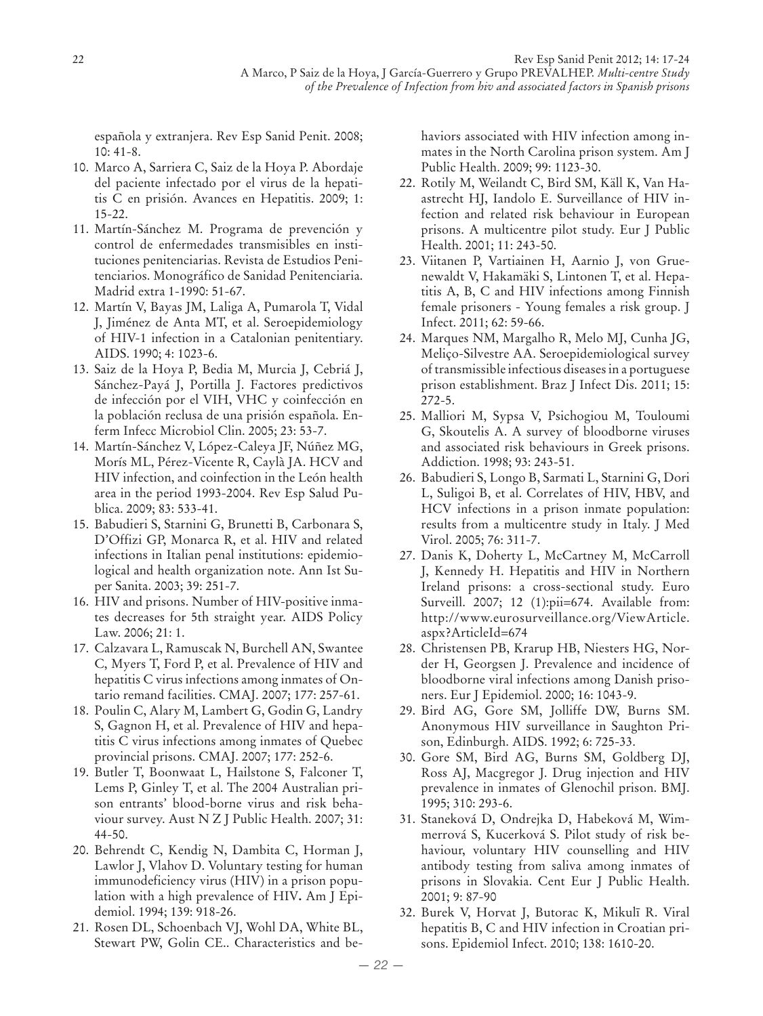española y extranjera. Rev Esp Sanid Penit. 2008; 10: 41-8.

- 10. Marco A, Sarriera C, Saiz de la Hoya P. Abordaje del paciente infectado por el virus de la hepatitis C en prisión. Avances en Hepatitis. 2009; 1: 15-22.
- 11. Martín-Sánchez M. Programa de prevención y control de enfermedades transmisibles en instituciones penitenciarias. Revista de Estudios Penitenciarios. Monográfico de Sanidad Penitenciaria. Madrid extra 1-1990: 51-67.
- 12. Martín V, Bayas JM, Laliga A, Pumarola T, Vidal J, Jiménez de Anta MT, et al. Seroepidemiology of HIV-1 infection in a Catalonian penitentiary. AIDS. 1990; 4: 1023-6.
- 13. Saiz de la Hoya P, Bedia M, Murcia J, Cebriá J, Sánchez-Payá J, Portilla J. Factores predictivos de infección por el VIH, VHC y coinfección en la población reclusa de una prisión española. Enferm Infecc Microbiol Clin. 2005; 23: 53-7.
- 14. Martín-Sánchez V, López-Caleya JF, Núñez MG, Morís ML, Pérez-Vicente R, Caylà JA. HCV and HIV infection, and coinfection in the León health area in the period 1993-2004. Rev Esp Salud Publica. 2009; 83: 533-41.
- 15. Babudieri S, Starnini G, Brunetti B, Carbonara S, D'Offizi GP, Monarca R, et al. HIV and related infections in Italian penal institutions: epidemiological and health organization note. Ann Ist Super Sanita. 2003; 39: 251-7.
- 16. HIV and prisons. Number of HIV-positive inmates decreases for 5th straight year. AIDS Policy Law. 2006; 21: 1.
- 17. Calzavara L, Ramuscak N, Burchell AN, Swantee C, Myers T, Ford P, et al. Prevalence of HIV and hepatitis C virus infections among inmates of Ontario remand facilities. CMAJ. 2007; 177: 257-61.
- 18. Poulin C, Alary M, Lambert G, Godin G, Landry S, Gagnon H, et al. Prevalence of HIV and hepatitis C virus infections among inmates of Quebec provincial prisons. CMAJ. 2007; 177: 252-6.
- 19. Butler T, Boonwaat L, Hailstone S, Falconer T, Lems P, Ginley T, et al. The 2004 Australian prison entrants' blood-borne virus and risk behaviour survey. Aust N Z J Public Health. 2007; 31: 44-50.
- 20. Behrendt C, Kendig N, Dambita C, Horman J, Lawlor J, Vlahov D. Voluntary testing for human immunodeficiency virus (HIV) in a prison population with a high prevalence of HIV**.** Am J Epidemiol. 1994; 139: 918-26.
- 21. Rosen DL, Schoenbach VJ, Wohl DA, White BL, Stewart PW, Golin CE.. Characteristics and be-

haviors associated with HIV infection among inmates in the North Carolina prison system. Am J Public Health. 2009; 99: 1123-30.

- 22. Rotily M, Weilandt C, Bird SM, Käll K, Van Haastrecht HJ, Iandolo E. Surveillance of HIV infection and related risk behaviour in European prisons. A multicentre pilot study. Eur J Public Health. 2001; 11: 243-50.
- 23. Viitanen P, Vartiainen H, Aarnio J, von Gruenewaldt V, Hakamäki S, Lintonen T, et al. Hepatitis A, B, C and HIV infections among Finnish female prisoners - Young females a risk group. J Infect. 2011; 62: 59-66.
- 24. Marques NM, Margalho R, Melo MJ, Cunha JG, Meliço-Silvestre AA. Seroepidemiological survey of transmissible infectious diseases in a portuguese prison establishment. Braz J Infect Dis. 2011; 15: 272-5.
- 25. Malliori M, Sypsa V, Psichogiou M, Touloumi G, Skoutelis A. A survey of bloodborne viruses and associated risk behaviours in Greek prisons. Addiction. 1998; 93: 243-51.
- 26. Babudieri S, Longo B, Sarmati L, Starnini G, Dori L, Suligoi B, et al. Correlates of HIV, HBV, and HCV infections in a prison inmate population: results from a multicentre study in Italy. J Med Virol. 2005; 76: 311-7.
- 27. Danis K, Doherty L, McCartney M, McCarroll J, Kennedy H. Hepatitis and HIV in Northern Ireland prisons: a cross-sectional study. Euro Surveill. 2007; 12 (1):pii=674. Available from: http://www.eurosurveillance.org/ViewArticle. aspx?ArticleId=674
- 28. Christensen PB, Krarup HB, Niesters HG, Norder H, Georgsen J. Prevalence and incidence of bloodborne viral infections among Danish prisoners. Eur J Epidemiol. 2000; 16: 1043-9.
- 29. Bird AG, Gore SM, Jolliffe DW, Burns SM. Anonymous HIV surveillance in Saughton Prison, Edinburgh. AIDS. 1992; 6: 725-33.
- 30. Gore SM, Bird AG, Burns SM, Goldberg DJ, Ross AJ, Macgregor J. Drug injection and HIV prevalence in inmates of Glenochil prison. BMJ. 1995; 310: 293-6.
- 31. Staneková D, Ondrejka D, Habeková M, Wimmerrová S, Kucerková S. Pilot study of risk behaviour, voluntary HIV counselling and HIV antibody testing from saliva among inmates of prisons in Slovakia. Cent Eur J Public Health. 2001; 9: 87-90
- 32. Burek V, Horvat J, Butorac K, Mikulī R. Viral hepatitis B, C and HIV infection in Croatian prisons. Epidemiol Infect. 2010; 138: 1610-20.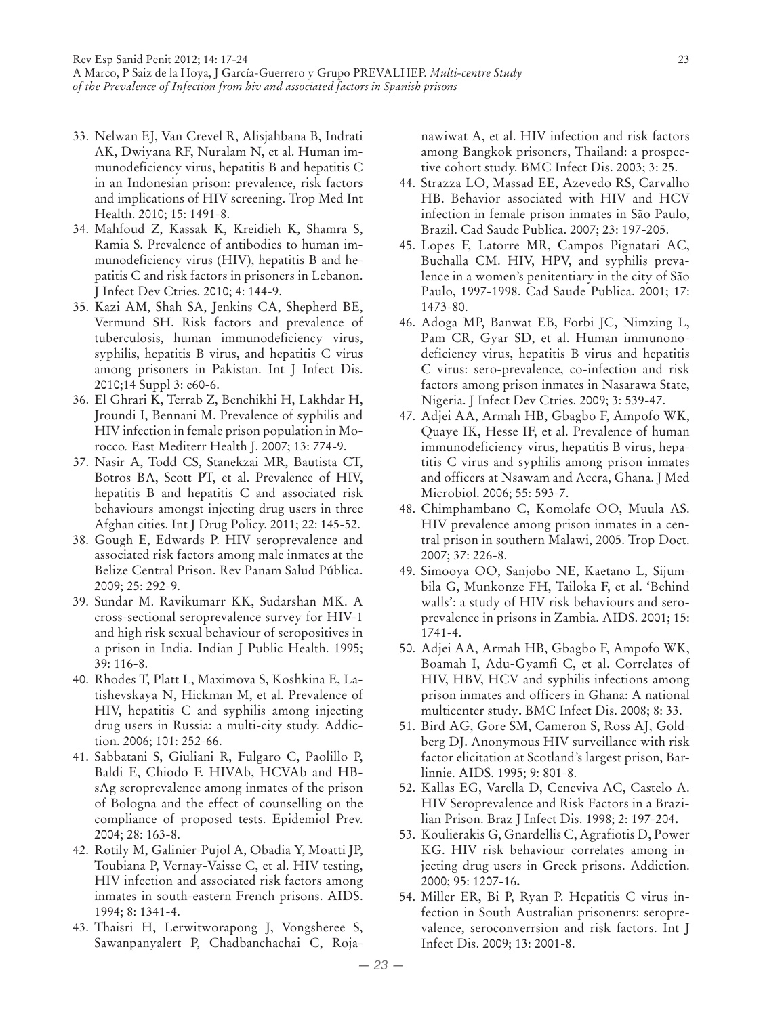- 33. Nelwan EJ, Van Crevel R, Alisjahbana B, Indrati AK, Dwiyana RF, Nuralam N, et al. Human immunodeficiency virus, hepatitis B and hepatitis C in an Indonesian prison: prevalence, risk factors and implications of HIV screening. Trop Med Int Health. 2010; 15: 1491-8.
- 34. Mahfoud Z, Kassak K, Kreidieh K, Shamra S, Ramia S. Prevalence of antibodies to human immunodeficiency virus (HIV), hepatitis B and hepatitis C and risk factors in prisoners in Lebanon. J Infect Dev Ctries. 2010; 4: 144-9.
- 35. Kazi AM, Shah SA, Jenkins CA, Shepherd BE, Vermund SH. Risk factors and prevalence of tuberculosis, human immunodeficiency virus, syphilis, hepatitis B virus, and hepatitis C virus among prisoners in Pakistan. Int J Infect Dis. 2010;14 Suppl 3: e60-6.
- 36. El Ghrari K, Terrab Z, Benchikhi H, Lakhdar H, Jroundi I, Bennani M. Prevalence of syphilis and HIV infection in female prison population in Morocco*.* East Mediterr Health J. 2007; 13: 774-9.
- 37. Nasir A, Todd CS, Stanekzai MR, Bautista CT, Botros BA, Scott PT, et al. Prevalence of HIV, hepatitis B and hepatitis C and associated risk behaviours amongst injecting drug users in three Afghan cities. Int J Drug Policy. 2011; 22: 145-52.
- 38. Gough E, Edwards P. HIV seroprevalence and associated risk factors among male inmates at the Belize Central Prison. Rev Panam Salud Pública. 2009; 25: 292-9.
- 39. Sundar M. Ravikumarr KK, Sudarshan MK. A cross-sectional seroprevalence survey for HIV-1 and high risk sexual behaviour of seropositives in a prison in India. Indian J Public Health. 1995; 39: 116-8.
- 40. Rhodes T, Platt L, Maximova S, Koshkina E, Latishevskaya N, Hickman M, et al. Prevalence of HIV, hepatitis C and syphilis among injecting drug users in Russia: a multi-city study. Addiction. 2006; 101: 252-66.
- 41. Sabbatani S, Giuliani R, Fulgaro C, Paolillo P, Baldi E, Chiodo F. HIVAb, HCVAb and HBsAg seroprevalence among inmates of the prison of Bologna and the effect of counselling on the compliance of proposed tests. Epidemiol Prev. 2004; 28: 163-8.
- 42. Rotily M, Galinier-Pujol A, Obadia Y, Moatti JP, Toubiana P, Vernay-Vaisse C, et al. HIV testing, HIV infection and associated risk factors among inmates in south-eastern French prisons. AIDS. 1994; 8: 1341-4.
- 43. Thaisri H, Lerwitworapong J, Vongsheree S, Sawanpanyalert P, Chadbanchachai C, Roja-

nawiwat A, et al. HIV infection and risk factors among Bangkok prisoners, Thailand: a prospective cohort study. BMC Infect Dis. 2003; 3: 25.

- 44. Strazza LO, Massad EE, Azevedo RS, Carvalho HB. Behavior associated with HIV and HCV infection in female prison inmates in São Paulo, Brazil. Cad Saude Publica. 2007; 23: 197-205.
- 45. Lopes F, Latorre MR, Campos Pignatari AC, Buchalla CM. HIV, HPV, and syphilis prevalence in a women's penitentiary in the city of São Paulo, 1997-1998. Cad Saude Publica. 2001; 17: 1473-80.
- 46. Adoga MP, Banwat EB, Forbi JC, Nimzing L, Pam CR, Gyar SD, et al. Human immunonodeficiency virus, hepatitis B virus and hepatitis C virus: sero-prevalence, co-infection and risk factors among prison inmates in Nasarawa State, Nigeria. J Infect Dev Ctries. 2009; 3: 539-47.
- 47. Adjei AA, Armah HB, Gbagbo F, Ampofo WK, Quaye IK, Hesse IF, et al. Prevalence of human immunodeficiency virus, hepatitis B virus, hepatitis C virus and syphilis among prison inmates and officers at Nsawam and Accra, Ghana. J Med Microbiol. 2006; 55: 593-7.
- 48. Chimphambano C, Komolafe OO, Muula AS. HIV prevalence among prison inmates in a central prison in southern Malawi, 2005. Trop Doct. 2007; 37: 226-8.
- 49. Simooya OO, Sanjobo NE, Kaetano L, Sijumbila G, Munkonze FH, Tailoka F, et al**.** 'Behind walls': a study of HIV risk behaviours and seroprevalence in prisons in Zambia. AIDS. 2001; 15: 1741-4.
- 50. Adjei AA, Armah HB, Gbagbo F, Ampofo WK, Boamah I, Adu-Gyamfi C, et al. Correlates of HIV, HBV, HCV and syphilis infections among prison inmates and officers in Ghana: A national multicenter study**.** BMC Infect Dis. 2008; 8: 33.
- 51. Bird AG, Gore SM, Cameron S, Ross AJ, Goldberg DJ. Anonymous HIV surveillance with risk factor elicitation at Scotland's largest prison, Barlinnie. AIDS. 1995; 9: 801-8.
- 52. Kallas EG, Varella D, Ceneviva AC, Castelo A. HIV Seroprevalence and Risk Factors in a Brazilian Prison. Braz J Infect Dis. 1998; 2: 197-204**.**
- 53. Koulierakis G, Gnardellis C, Agrafiotis D, Power KG. HIV risk behaviour correlates among injecting drug users in Greek prisons. Addiction. 2000; 95: 1207-16**.**
- 54. Miller ER, Bi P, Ryan P. Hepatitis C virus infection in South Australian prisonenrs: seroprevalence, seroconverrsion and risk factors. Int J Infect Dis. 2009; 13: 2001-8.